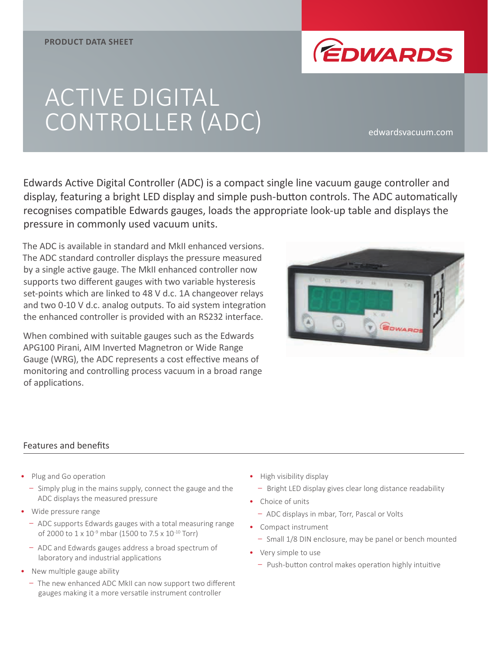

# ACTIVE DIGITAL CONTROLLER (ADC) edwardsvacuum.com

Edwards Active Digital Controller (ADC) is a compact single line vacuum gauge controller and display, featuring a bright LED display and simple push-button controls. The ADC automatically recognises compatible Edwards gauges, loads the appropriate look-up table and displays the pressure in commonly used vacuum units.

The ADC is available in standard and MkII enhanced versions. The ADC standard controller displays the pressure measured by a single active gauge. The MkII enhanced controller now supports two different gauges with two variable hysteresis set-points which are linked to 48 V d.c. 1A changeover relays and two 0-10 V d.c. analog outputs. To aid system integration the enhanced controller is provided with an RS232 interface.

When combined with suitable gauges such as the Edwards APG100 Pirani, AIM Inverted Magnetron or Wide Range Gauge (WRG), the ADC represents a cost effective means of monitoring and controlling process vacuum in a broad range of applications.



#### Features and benefits

- Plug and Go operation
	- Simply plug in the mains supply, connect the gauge and the ADC displays the measured pressure
- Wide pressure range
	- ADC supports Edwards gauges with a total measuring range of 2000 to 1 x 10<sup>-9</sup> mbar (1500 to 7.5 x 10<sup>-10</sup> Torr)
	- ADC and Edwards gauges address a broad spectrum of laboratory and industrial applications
- New multiple gauge ability
	- The new enhanced ADC MkII can now support two different gauges making it a more versatile instrument controller
- High visibility display
	- Bright LED display gives clear long distance readability
- Choice of units
	- ADC displays in mbar, Torr, Pascal or Volts
- Compact instrument
	- Small 1/8 DIN enclosure, may be panel or bench mounted
- Very simple to use
	- Push-button control makes operation highly intuitive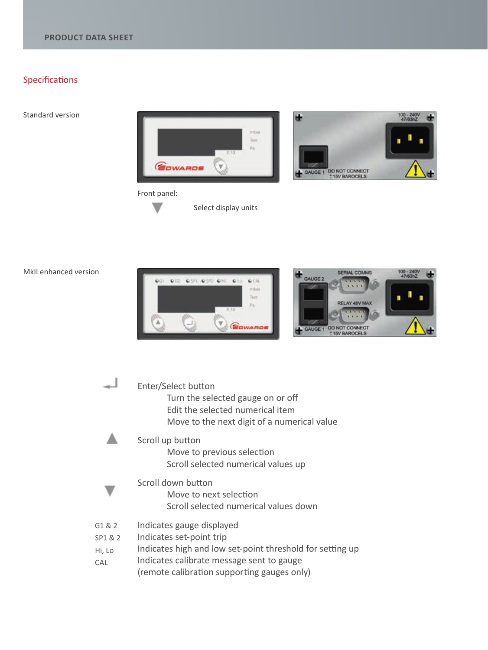## Specifications

Standard version





#### Front panel:  $\overline{\phantom{0}}$

Select display units

MkII enhanced version



|                                    | Enter/Select button<br>Turn the selected gauge on or off<br>Edit the selected numerical item<br>Move to the next digit of a numerical value                                                                    |
|------------------------------------|----------------------------------------------------------------------------------------------------------------------------------------------------------------------------------------------------------------|
|                                    | Scroll up button<br>Move to previous selection<br>Scroll selected numerical values up                                                                                                                          |
|                                    | Scroll down button<br>Move to next selection<br>Scroll selected numerical values down                                                                                                                          |
| G1 & 2<br>SP1 & 2<br>Hi, Lo<br>CAL | Indicates gauge displayed<br>Indicates set-point trip<br>Indicates high and low set-point threshold for setting up<br>Indicates calibrate message sent to gauge<br>(remote calibration supporting gauges only) |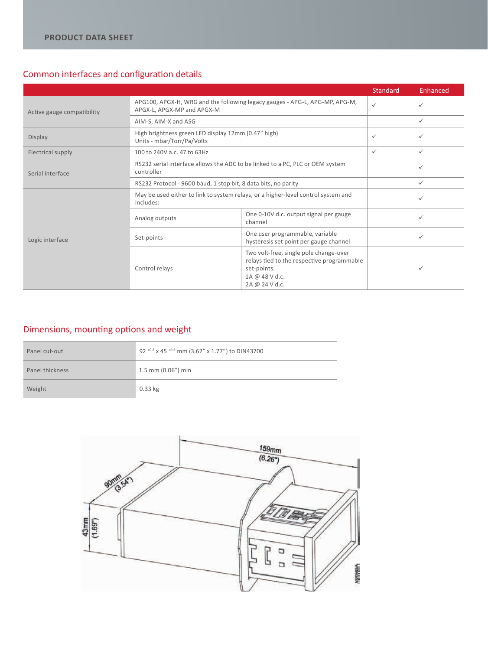### Common interfaces and configuration details

|                            |                                                                                                           |                                                                                                                                         | <b>Standard</b> | Enhanced     |
|----------------------------|-----------------------------------------------------------------------------------------------------------|-----------------------------------------------------------------------------------------------------------------------------------------|-----------------|--------------|
| Active gauge compatibility | APG100, APGX-H, WRG and the following legacy gauges - APG-L, APG-MP, APG-M,<br>APGX-L, APGX-MP and APGX-M |                                                                                                                                         | ✓               | ✓            |
|                            | AIM-S, AIM-X and ASG                                                                                      |                                                                                                                                         |                 | $\checkmark$ |
| Display                    | High brightness green LED display 12mm (0.47" high)<br>Units - mbar/Torr/Pa/Volts                         |                                                                                                                                         | $\checkmark$    | $\checkmark$ |
| Electrical supply          | 100 to 240V a.c. 47 to 63Hz                                                                               |                                                                                                                                         | ✓               | $\checkmark$ |
| Serial interface           | RS232 serial interface allows the ADC to be linked to a PC, PLC or OEM system<br>controller               |                                                                                                                                         |                 | ✓            |
|                            | RS232 Protocol - 9600 baud, 1 stop bit, 8 data bits, no parity                                            |                                                                                                                                         |                 | ✓            |
|                            | May be used either to link to system relays, or a higher-level control system and<br>includes:            |                                                                                                                                         |                 | ✓            |
|                            | Analog outputs                                                                                            | One 0-10V d.c. output signal per gauge<br>channel                                                                                       |                 | ✓            |
| Logic interface            | Set-points                                                                                                | One user programmable, variable<br>hysteresis set point per gauge channel                                                               |                 | ✓            |
|                            | Control relays                                                                                            | Two volt-free, single pole change-over<br>relays tied to the respective programmable<br>set-points:<br>1A @ 48 V d.c.<br>2A @ 24 V d.c. |                 | ✓            |

## Dimensions, mounting options and weight

| Panel cut-out   | 92 +0.8 x 45 +0.6 mm (3.62" x 1.77") to DIN43700 |
|-----------------|--------------------------------------------------|
| Panel thickness | $1.5$ mm (0.06") min                             |
| Weight          | $0.33$ kg                                        |